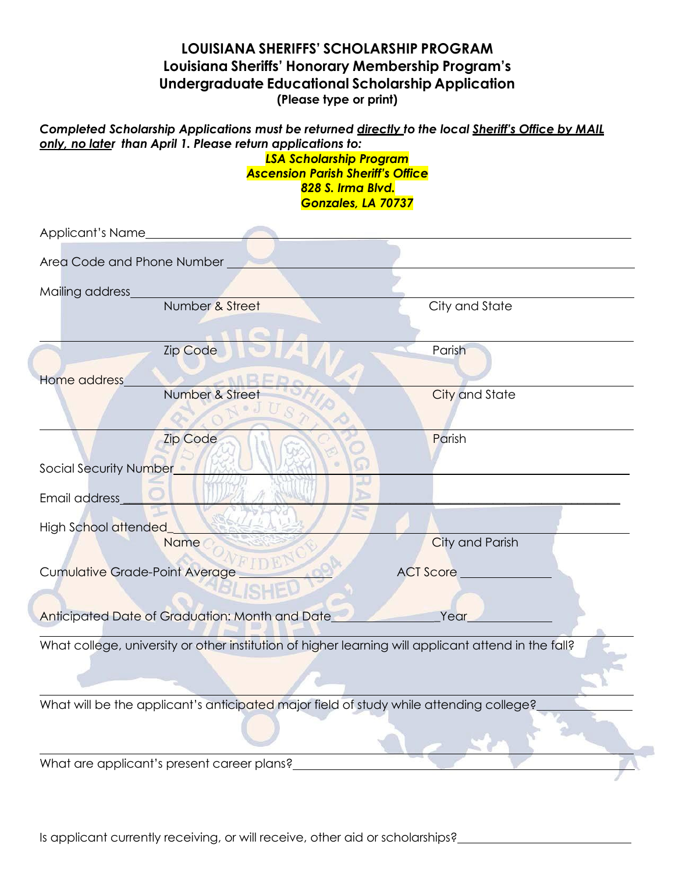## **LOUISIANA SHERIFFS' SCHOLARSHIP PROGRAM Louisiana Sheriffs' Honorary Membership Program's Undergraduate Educational Scholarship Application (Please type or print)**

## *Completed Scholarship Applications must be returned directly to the local Sheriff's Office by MAIL only, no later than April 1. Please return applications to:*

*LSA Scholarship Program Ascension Parish Sheriff's Office 828 S. Irma Blvd. Gonzales, LA 70737*

| Applicant's Name                      |                                                                                                     |                  |
|---------------------------------------|-----------------------------------------------------------------------------------------------------|------------------|
| Area Code and Phone Number            |                                                                                                     |                  |
| Mailing address                       |                                                                                                     |                  |
|                                       | Number & Street                                                                                     | City and State   |
|                                       | <b>Zip Code</b>                                                                                     | Parish           |
| Home address                          |                                                                                                     |                  |
|                                       | Number & Street                                                                                     | City and State   |
|                                       | <b>Zip Code</b>                                                                                     | Parish           |
| Social Security Number                |                                                                                                     |                  |
| Email address                         |                                                                                                     |                  |
| High School attended                  |                                                                                                     |                  |
|                                       | <b>Name</b>                                                                                         | City and Parish  |
| <b>Cumulative Grade-Point Average</b> |                                                                                                     | <b>ACT Score</b> |
|                                       |                                                                                                     |                  |
|                                       | Anticipated Date of Graduation: Month and Date                                                      | Year             |
|                                       | What college, university or other institution of higher learning will applicant attend in the fall? |                  |
|                                       |                                                                                                     |                  |
|                                       | What will be the applicant's anticipated major field of study while attending college?              |                  |
|                                       |                                                                                                     |                  |
|                                       | What are applicant's present career plans?                                                          |                  |

Is applicant currently receiving, or will receive, other aid or scholarships?